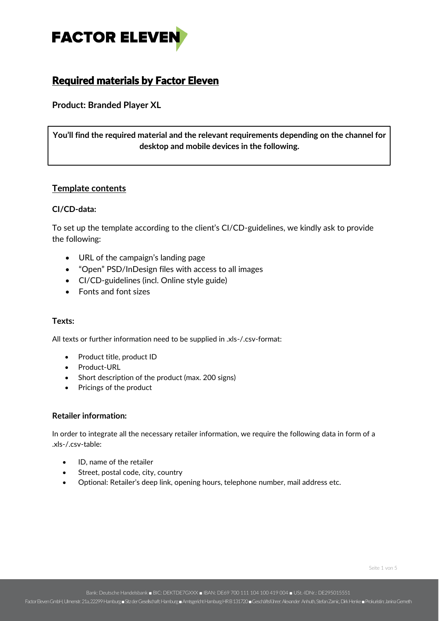

# Required materials by Factor Eleven

**Product: Branded Player XL**

**You'll find the required material and the relevant requirements depending on the channel for desktop and mobile devices in the following.**

# **Template contents**

#### **CI/CD-data:**

To set up the template according to the client's CI/CD-guidelines, we kindly ask to provide the following:

- URL of the campaign's landing page
- "Open" PSD/InDesign files with access to all images
- CI/CD-guidelines (incl. Online style guide)
- Fonts and font sizes

### **Texts:**

All texts or further information need to be supplied in .xls-/.csv-format:

- Product title, product ID
- Product-URL
- Short description of the product (max. 200 signs)
- Pricings of the product

#### **Retailer information:**

In order to integrate all the necessary retailer information, we require the following data in form of a .xls-/.csv-table:

- ID, name of the retailer
- Street, postal code, city, country
- Optional: Retailer's deep link, opening hours, telephone number, mail address etc.

Seite 1 von 5

Bank: Deutsche Handelsbank ■ BIC: DEKTDE7GXXX ■ IBAN: DE69 700 111 104 100 419 004 ■ USt.-IDNr.: DE295015551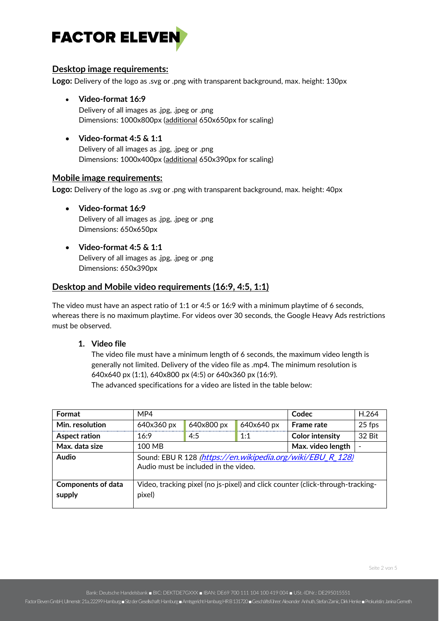

### **Desktop image requirements:**

**Logo:** Delivery of the logo as .svg or .png with transparent background, max. height: 130px

- **Video-format 16:9** Delivery of all images as .jpg, .jpeg or .png Dimensions: 1000x800px (additional 650x650px for scaling)
- **Video-format 4:5 & 1:1** Delivery of all images as .jpg, .jpeg or .png Dimensions: 1000x400px (additional 650x390px for scaling)

### **Mobile image requirements:**

**Logo:** Delivery of the logo as .svg or .png with transparent background, max. height: 40px

- **Video-format 16:9** Delivery of all images as .jpg, .jpeg or .png Dimensions: 650x650px
- **Video-format 4:5 & 1:1** Delivery of all images as .jpg, .jpeg or .png Dimensions: 650x390px

### **Desktop and Mobile video requirements (16:9, 4:5, 1:1)**

The video must have an aspect ratio of 1:1 or 4:5 or 16:9 with a minimum playtime of 6 seconds, whereas there is no maximum playtime. For videos over 30 seconds, the Google Heavy Ads restrictions must be observed.

**1. Video file**

The video file must have a minimum length of 6 seconds, the maximum video length is generally not limited. Delivery of the video file as .mp4. The minimum resolution is 640x640 px (1:1), 640x800 px (4:5) or 640x360 px (16:9).

The advanced specifications for a video are listed in the table below:

| Format                              | MP4                                                                                                |            | Codec             | H.264                  |        |  |  |  |  |
|-------------------------------------|----------------------------------------------------------------------------------------------------|------------|-------------------|------------------------|--------|--|--|--|--|
| Min. resolution                     | 640x360 px                                                                                         | 640x800 px | 640x640 px        | <b>Frame rate</b>      | 25 fps |  |  |  |  |
| <b>Aspect ration</b>                | 16:9                                                                                               | 4:5        | 1:1               | <b>Color intensity</b> | 32 Bit |  |  |  |  |
| Max. data size                      | 100 MB                                                                                             |            | Max. video length |                        |        |  |  |  |  |
| Audio                               | Sound: EBU R 128 (https://en.wikipedia.org/wiki/EBU_R_128)<br>Audio must be included in the video. |            |                   |                        |        |  |  |  |  |
| <b>Components of data</b><br>supply | Video, tracking pixel (no js-pixel) and click counter (click-through-tracking-<br>pixel)           |            |                   |                        |        |  |  |  |  |

Bank: Deutsche Handelsbank ■ BIC: DEKTDE7GXXX ■ IBAN: DE69 700 111 104 100 419 004 ■ USt.-IDNr.: DE295015551

Factor Eleven GmbH, Ulmenstr. 21a, 22299 Hamburg ■Sitz der Gesellschaft: Hamburg ■Amtsgericht Hamburg HR B 131720 ■Geschäftsführer: Alexander Anhuth, Stefan Zamic, Dirk Henke ■Prokuristin: Janina Gerneth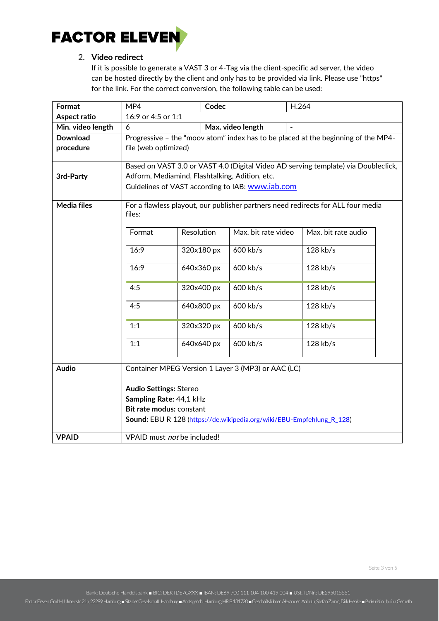

## 2. **Video redirect**

If it is possible to generate a VAST 3 or 4-Tag via the client-specific ad server, the video can be hosted directly by the client and only has to be provided via link. Please use "https" for the link. For the correct conversion, the following table can be used:

| Format             | MP4                                                                                                                                  |            | Codec             |                     | H.264 |                     |  |  |  |  |
|--------------------|--------------------------------------------------------------------------------------------------------------------------------------|------------|-------------------|---------------------|-------|---------------------|--|--|--|--|
| Aspect ratio       | 16:9 or 4:5 or 1:1                                                                                                                   |            |                   |                     |       |                     |  |  |  |  |
| Min. video length  | 6                                                                                                                                    |            | Max. video length |                     |       |                     |  |  |  |  |
| <b>Download</b>    | Progressive - the "moov atom" index has to be placed at the beginning of the MP4-                                                    |            |                   |                     |       |                     |  |  |  |  |
| procedure          | file (web optimized)                                                                                                                 |            |                   |                     |       |                     |  |  |  |  |
|                    |                                                                                                                                      |            |                   |                     |       |                     |  |  |  |  |
|                    | Based on VAST 3.0 or VAST 4.0 (Digital Video AD serving template) via Doubleclick,<br>Adform, Mediamind, Flashtalking, Adition, etc. |            |                   |                     |       |                     |  |  |  |  |
| 3rd-Party          |                                                                                                                                      |            |                   |                     |       |                     |  |  |  |  |
|                    | Guidelines of VAST according to IAB: www.iab.com                                                                                     |            |                   |                     |       |                     |  |  |  |  |
|                    |                                                                                                                                      |            |                   |                     |       |                     |  |  |  |  |
| <b>Media files</b> | For a flawless playout, our publisher partners need redirects for ALL four media<br>files:                                           |            |                   |                     |       |                     |  |  |  |  |
|                    |                                                                                                                                      |            |                   |                     |       |                     |  |  |  |  |
|                    | Format                                                                                                                               | Resolution |                   | Max. bit rate video |       | Max. bit rate audio |  |  |  |  |
|                    |                                                                                                                                      |            |                   |                     |       |                     |  |  |  |  |
|                    | 16:9                                                                                                                                 | 320x180 px |                   | 600 kb/s            |       | 128 kb/s            |  |  |  |  |
|                    | 16:9                                                                                                                                 |            |                   | 600 kb/s            |       | 128 kb/s            |  |  |  |  |
|                    |                                                                                                                                      | 640x360 px |                   |                     |       |                     |  |  |  |  |
|                    | 4:5                                                                                                                                  | 320x400 px |                   | 600 kb/s            |       | 128 kb/s            |  |  |  |  |
|                    |                                                                                                                                      |            |                   |                     |       |                     |  |  |  |  |
|                    | 4:5                                                                                                                                  | 640x800 px |                   | 600 kb/s            |       | 128 kb/s            |  |  |  |  |
|                    |                                                                                                                                      |            |                   |                     |       |                     |  |  |  |  |
|                    | 1:1                                                                                                                                  | 320x320 px |                   | 600 kb/s            |       | 128 kb/s            |  |  |  |  |
|                    |                                                                                                                                      |            |                   |                     |       |                     |  |  |  |  |
|                    | 1:1                                                                                                                                  | 640x640 px |                   | 600 kb/s            |       | 128 kb/s            |  |  |  |  |
|                    |                                                                                                                                      |            |                   |                     |       |                     |  |  |  |  |
| <b>Audio</b>       | Container MPEG Version 1 Layer 3 (MP3) or AAC (LC)                                                                                   |            |                   |                     |       |                     |  |  |  |  |
|                    |                                                                                                                                      |            |                   |                     |       |                     |  |  |  |  |
|                    | <b>Audio Settings: Stereo</b>                                                                                                        |            |                   |                     |       |                     |  |  |  |  |
|                    | Sampling Rate: 44,1 kHz                                                                                                              |            |                   |                     |       |                     |  |  |  |  |
|                    | Bit rate modus: constant                                                                                                             |            |                   |                     |       |                     |  |  |  |  |
|                    | Sound: EBU R 128 (https://de.wikipedia.org/wiki/EBU-Empfehlung R 128)                                                                |            |                   |                     |       |                     |  |  |  |  |
|                    |                                                                                                                                      |            |                   |                     |       |                     |  |  |  |  |
| <b>VPAID</b>       | VPAID must not be included!                                                                                                          |            |                   |                     |       |                     |  |  |  |  |

Bank: Deutsche Handelsbank ■ BIC: DEKTDE7GXXX ■ IBAN: DE69 700 111 104 100 419 004 ■ USt.-IDNr.: DE295015551

Factor Eleven GmbH, Ulmenstr. 21a, 22299 Hamburg ■Sitz der Gesellschaft: Hamburg ■Amtsgericht Hamburg HR B 131720 ■Geschäftsführer: Alexander Anhuth, Stefan Zarnic, Dirk Henke ■Prokuristin: Janina Gerneth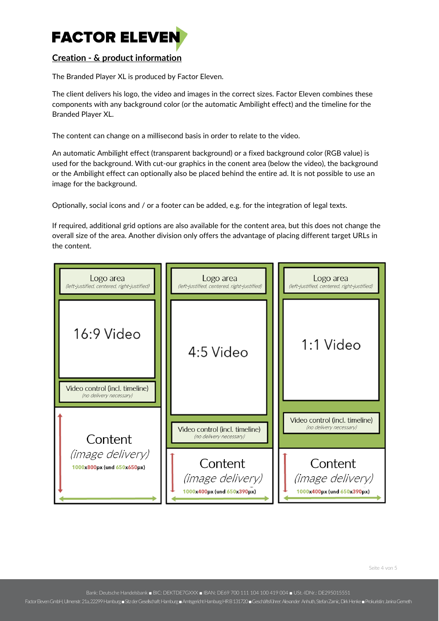

# **Creation - & product information**

The Branded Player XL is produced by Factor Eleven.

The client delivers his logo, the video and images in the correct sizes. Factor Eleven combines these components with any background color (or the automatic Ambilight effect) and the timeline for the Branded Player XL.

The content can change on a millisecond basis in order to relate to the video.

An automatic Ambilight effect (transparent background) or a fixed background color (RGB value) is used for the background. With cut-our graphics in the conent area (below the video), the background or the Ambilight effect can optionally also be placed behind the entire ad. It is not possible to use an image for the background.

Optionally, social icons and / or a footer can be added, e.g. for the integration of legal texts.

If required, additional grid options are also available for the content area, but this does not change the overall size of the area. Another division only offers the advantage of placing different target URLs in the content.



Seite 4 von 5

Bank: Deutsche Handelsbank ■ BIC: DEKTDE7GXXX ■ IBAN: DE69 700 111 104 100 419 004 ■ USt.-IDNr.: DE295015551

Factor Eleven GmbH, Ulmenstr. 21a, 22299 Hamburg ■Sitz der Gesellschaft: Hamburg ■Amtsgericht Hamburg HR B 131720 ■Geschäftsführer: Alexander Anhuth, Stefan Zarnic, Dirk Henke ■Prokuristin: Janina Gerneth